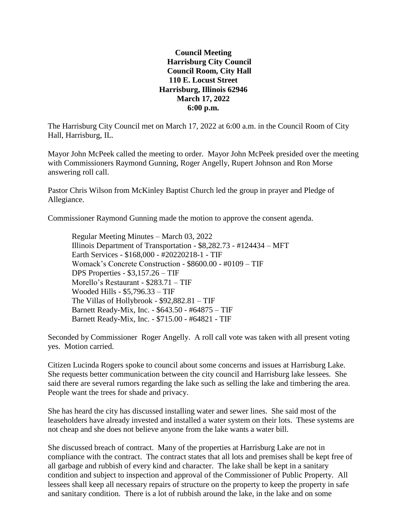**Council Meeting Harrisburg City Council Council Room, City Hall 110 E. Locust Street Harrisburg, Illinois 62946 March 17, 2022 6:00 p.m.**

The Harrisburg City Council met on March 17, 2022 at 6:00 a.m. in the Council Room of City Hall, Harrisburg, IL.

Mayor John McPeek called the meeting to order. Mayor John McPeek presided over the meeting with Commissioners Raymond Gunning, Roger Angelly, Rupert Johnson and Ron Morse answering roll call.

Pastor Chris Wilson from McKinley Baptist Church led the group in prayer and Pledge of Allegiance.

Commissioner Raymond Gunning made the motion to approve the consent agenda.

Regular Meeting Minutes – March 03, 2022 Illinois Department of Transportation - \$8,282.73 - #124434 – MFT Earth Services - \$168,000 - #20220218-1 - TIF Womack's Concrete Construction - \$8600.00 - #0109 – TIF DPS Properties - \$3,157.26 – TIF Morello's Restaurant - \$283.71 – TIF Wooded Hills - \$5,796.33 – TIF The Villas of Hollybrook - \$92,882.81 – TIF Barnett Ready-Mix, Inc. - \$643.50 - #64875 – TIF Barnett Ready-Mix, Inc. - \$715.00 - #64821 - TIF

Seconded by Commissioner Roger Angelly. A roll call vote was taken with all present voting yes. Motion carried.

Citizen Lucinda Rogers spoke to council about some concerns and issues at Harrisburg Lake. She requests better communication between the city council and Harrisburg lake lessees. She said there are several rumors regarding the lake such as selling the lake and timbering the area. People want the trees for shade and privacy.

She has heard the city has discussed installing water and sewer lines. She said most of the leaseholders have already invested and installed a water system on their lots. These systems are not cheap and she does not believe anyone from the lake wants a water bill.

She discussed breach of contract. Many of the properties at Harrisburg Lake are not in compliance with the contract. The contract states that all lots and premises shall be kept free of all garbage and rubbish of every kind and character. The lake shall be kept in a sanitary condition and subject to inspection and approval of the Commissioner of Public Property. All lessees shall keep all necessary repairs of structure on the property to keep the property in safe and sanitary condition. There is a lot of rubbish around the lake, in the lake and on some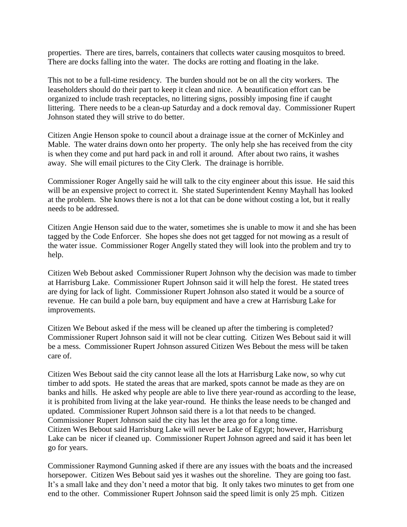properties. There are tires, barrels, containers that collects water causing mosquitos to breed. There are docks falling into the water. The docks are rotting and floating in the lake.

This not to be a full-time residency. The burden should not be on all the city workers. The leaseholders should do their part to keep it clean and nice. A beautification effort can be organized to include trash receptacles, no littering signs, possibly imposing fine if caught littering. There needs to be a clean-up Saturday and a dock removal day. Commissioner Rupert Johnson stated they will strive to do better.

Citizen Angie Henson spoke to council about a drainage issue at the corner of McKinley and Mable. The water drains down onto her property. The only help she has received from the city is when they come and put hard pack in and roll it around. After about two rains, it washes away. She will email pictures to the City Clerk. The drainage is horrible.

Commissioner Roger Angelly said he will talk to the city engineer about this issue. He said this will be an expensive project to correct it. She stated Superintendent Kenny Mayhall has looked at the problem. She knows there is not a lot that can be done without costing a lot, but it really needs to be addressed.

Citizen Angie Henson said due to the water, sometimes she is unable to mow it and she has been tagged by the Code Enforcer. She hopes she does not get tagged for not mowing as a result of the water issue. Commissioner Roger Angelly stated they will look into the problem and try to help.

Citizen Web Bebout asked Commissioner Rupert Johnson why the decision was made to timber at Harrisburg Lake. Commissioner Rupert Johnson said it will help the forest. He stated trees are dying for lack of light. Commissioner Rupert Johnson also stated it would be a source of revenue. He can build a pole barn, buy equipment and have a crew at Harrisburg Lake for improvements.

Citizen We Bebout asked if the mess will be cleaned up after the timbering is completed? Commissioner Rupert Johnson said it will not be clear cutting. Citizen Wes Bebout said it will be a mess. Commissioner Rupert Johnson assured Citizen Wes Bebout the mess will be taken care of.

Citizen Wes Bebout said the city cannot lease all the lots at Harrisburg Lake now, so why cut timber to add spots. He stated the areas that are marked, spots cannot be made as they are on banks and hills. He asked why people are able to live there year-round as according to the lease, it is prohibited from living at the lake year-round. He thinks the lease needs to be changed and updated. Commissioner Rupert Johnson said there is a lot that needs to be changed. Commissioner Rupert Johnson said the city has let the area go for a long time. Citizen Wes Bebout said Harrisburg Lake will never be Lake of Egypt; however, Harrisburg Lake can be nicer if cleaned up. Commissioner Rupert Johnson agreed and said it has been let go for years.

Commissioner Raymond Gunning asked if there are any issues with the boats and the increased horsepower. Citizen Wes Bebout said yes it washes out the shoreline. They are going too fast. It's a small lake and they don't need a motor that big. It only takes two minutes to get from one end to the other. Commissioner Rupert Johnson said the speed limit is only 25 mph. Citizen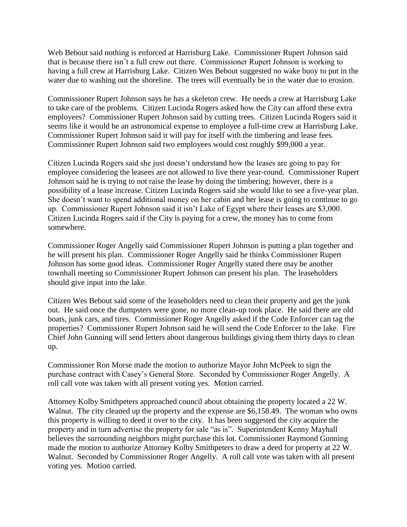Web Bebout said nothing is enforced at Harrisburg Lake. Commissioner Rupert Johnson said that is because there isn't a full crew out there. Commissioner Rupert Johnson is working to having a full crew at Harrisburg Lake. Citizen Wes Bebout suggested no wake buoy to put in the water due to washing out the shoreline. The trees will eventually be in the water due to erosion.

Commissioner Rupert Johnson says he has a skeleton crew. He needs a crew at Harrisburg Lake to take care of the problems. Citizen Lucinda Rogers asked how the City can afford these extra employees? Commissioner Rupert Johnson said by cutting trees. Citizen Lucinda Rogers said it seems like it would be an astronomical expense to employee a full-time crew at Harrisburg Lake. Commissioner Rupert Johnson said it will pay for itself with the timbering and lease fees. Commissioner Rupert Johnson said two employees would cost roughly \$99,000 a year.

Citizen Lucinda Rogers said she just doesn't understand how the leases are going to pay for employee considering the leasees are not allowed to live there year-round. Commissioner Rupert Johnson said he is trying to not raise the lease by doing the timbering; however, there is a possibility of a lease increase. Citizen Lucinda Rogers said she would like to see a five-year plan. She doesn't want to spend additional money on her cabin and her lease is going to continue to go up. Commissioner Rupert Johnson said it isn't Lake of Egypt where their leases are \$3,000. Citizen Lucinda Rogers said if the City is paying for a crew, the money has to come from somewhere.

Commissioner Roger Angelly said Commissioner Rupert Johnson is putting a plan together and he will present his plan. Commissioner Roger Angelly said he thinks Commissioner Rupert Johnson has some good ideas. Commissioner Roger Angelly stated there may be another townhall meeting so Commissioner Rupert Johnson can present his plan. The leaseholders should give input into the lake.

Citizen Wes Bebout said some of the leaseholders need to clean their property and get the junk out. He said once the dumpsters were gone, no more clean-up took place. He said there are old boats, junk cars, and tires. Commissioner Roger Angelly asked if the Code Enforcer can tag the properties? Commissioner Rupert Johnson said he will send the Code Enforcer to the lake. Fire Chief John Gunning will send letters about dangerous buildings giving them thirty days to clean up.

Commissioner Ron Morse made the motion to authorize Mayor John McPeek to sign the purchase contract with Casey's General Store. Seconded by Commissioner Roger Angelly. A roll call vote was taken with all present voting yes. Motion carried.

Attorney Kolby Smithpeters approached council about obtaining the property located a 22 W. Walnut. The city cleaned up the property and the expense are \$6,158.49. The woman who owns this property is willing to deed it over to the city. It has been suggested the city acquire the property and in turn advertise the property for sale "as is". Superintendent Kenny Mayhall believes the surrounding neighbors might purchase this lot. Commissioner Raymond Gunning made the motion to authorize Attorney Kolby Smithpeters to draw a deed for property at 22 W. Walnut. Seconded by Commissioner Roger Angelly. A roll call vote was taken with all present voting yes. Motion carried.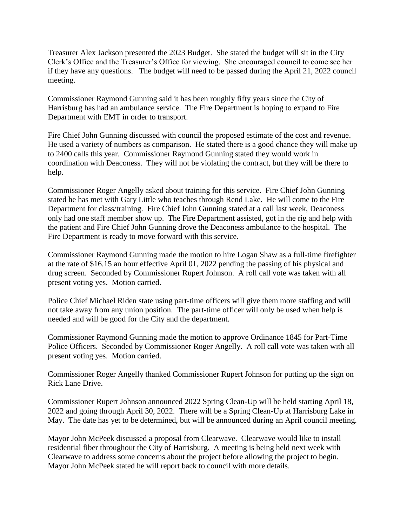Treasurer Alex Jackson presented the 2023 Budget. She stated the budget will sit in the City Clerk's Office and the Treasurer's Office for viewing. She encouraged council to come see her if they have any questions. The budget will need to be passed during the April 21, 2022 council meeting.

Commissioner Raymond Gunning said it has been roughly fifty years since the City of Harrisburg has had an ambulance service. The Fire Department is hoping to expand to Fire Department with EMT in order to transport.

Fire Chief John Gunning discussed with council the proposed estimate of the cost and revenue. He used a variety of numbers as comparison. He stated there is a good chance they will make up to 2400 calls this year. Commissioner Raymond Gunning stated they would work in coordination with Deaconess. They will not be violating the contract, but they will be there to help.

Commissioner Roger Angelly asked about training for this service. Fire Chief John Gunning stated he has met with Gary Little who teaches through Rend Lake. He will come to the Fire Department for class/training. Fire Chief John Gunning stated at a call last week, Deaconess only had one staff member show up. The Fire Department assisted, got in the rig and help with the patient and Fire Chief John Gunning drove the Deaconess ambulance to the hospital. The Fire Department is ready to move forward with this service.

Commissioner Raymond Gunning made the motion to hire Logan Shaw as a full-time firefighter at the rate of \$16.15 an hour effective April 01, 2022 pending the passing of his physical and drug screen. Seconded by Commissioner Rupert Johnson. A roll call vote was taken with all present voting yes. Motion carried.

Police Chief Michael Riden state using part-time officers will give them more staffing and will not take away from any union position. The part-time officer will only be used when help is needed and will be good for the City and the department.

Commissioner Raymond Gunning made the motion to approve Ordinance 1845 for Part-Time Police Officers. Seconded by Commissioner Roger Angelly. A roll call vote was taken with all present voting yes. Motion carried.

Commissioner Roger Angelly thanked Commissioner Rupert Johnson for putting up the sign on Rick Lane Drive.

Commissioner Rupert Johnson announced 2022 Spring Clean-Up will be held starting April 18, 2022 and going through April 30, 2022. There will be a Spring Clean-Up at Harrisburg Lake in May. The date has yet to be determined, but will be announced during an April council meeting.

Mayor John McPeek discussed a proposal from Clearwave. Clearwave would like to install residential fiber throughout the City of Harrisburg. A meeting is being held next week with Clearwave to address some concerns about the project before allowing the project to begin. Mayor John McPeek stated he will report back to council with more details.